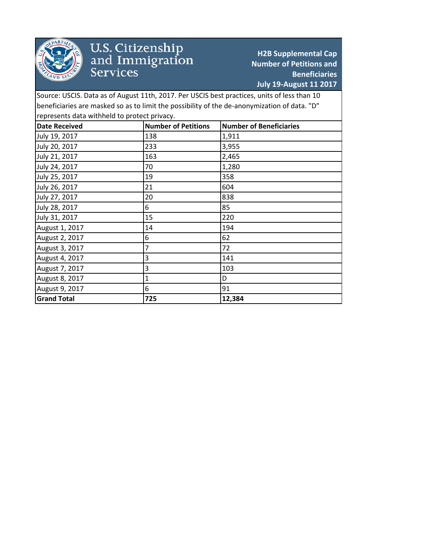

## U.S. Citizenship<br>and Immigration<br>Services

**H2B Supplemental Cap Number of Petitions and Beneficiaries July 19-August 11 2017**

Source: USCIS. Data as of August 11th, 2017. Per USCIS best practices, units of less than 10 beneficiaries are masked so as to limit the possibility of the de-anonymization of data. "D" represents data withheld to protect privacy.

| <b>Date Received</b> | <b>Number of Petitions</b> | <b>Number of Beneficiaries</b> |
|----------------------|----------------------------|--------------------------------|
| July 19, 2017        | 138                        | 1,911                          |
| July 20, 2017        | 233                        | 3,955                          |
| July 21, 2017        | 163                        | 2,465                          |
| July 24, 2017        | 70                         | 1,280                          |
| July 25, 2017        | 19                         | 358                            |
| July 26, 2017        | 21                         | 604                            |
| July 27, 2017        | 20                         | 838                            |
| July 28, 2017        | 6                          | 85                             |
| July 31, 2017        | 15                         | 220                            |
| August 1, 2017       | 14                         | 194                            |
| August 2, 2017       | 6                          | 62                             |
| August 3, 2017       | 7                          | 72                             |
| August 4, 2017       | 3                          | 141                            |
| August 7, 2017       | 3                          | 103                            |
| August 8, 2017       | 1                          | D                              |
| August 9, 2017       | 6                          | 91                             |
| <b>Grand Total</b>   | 725                        | 12,384                         |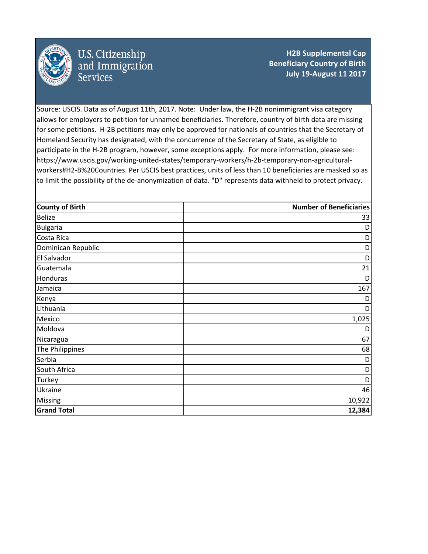

U.S. Citizenship<br>and Immigration **Services** 

**H2B Supplemental Cap Beneficiary Country of Birth July 19-August 11 2017**

Source: USCIS. Data as of August 11th, 2017. Note: Under law, the H-2B nonimmigrant visa category allows for employers to petition for unnamed beneficiaries. Therefore, country of birth data are missing for some petitions. H-2B petitions may only be approved for nationals of countries that the Secretary of Homeland Security has designated, with the concurrence of the Secretary of State, as eligible to participate in the H-2B program, however, some exceptions apply. For more information, please see: https://www.uscis.gov/working-united-states/temporary-workers/h-2b-temporary-non-agriculturalworkers#H2-B%20Countries. Per USCIS best practices, units of less than 10 beneficiaries are masked so as to limit the possibility of the de-anonymization of data. "D" represents data withheld to protect privacy.

| <b>County of Birth</b> | <b>Number of Beneficiaries</b> |
|------------------------|--------------------------------|
| <b>Belize</b>          | 33                             |
| <b>Bulgaria</b>        | D                              |
| Costa Rica             | D                              |
| Dominican Republic     | D                              |
| El Salvador            | D                              |
| Guatemala              | 21                             |
| Honduras               | D                              |
| Jamaica                | 167                            |
| Kenya                  | D                              |
| Lithuania              | D                              |
| Mexico                 | 1,025                          |
| Moldova                | D                              |
| Nicaragua              | 67                             |
| The Philippines        | 68                             |
| Serbia                 | D                              |
| South Africa           | D                              |
| <b>Turkey</b>          | D                              |
| Ukraine                | 46                             |
| <b>Missing</b>         | 10,922                         |
| <b>Grand Total</b>     | 12,384                         |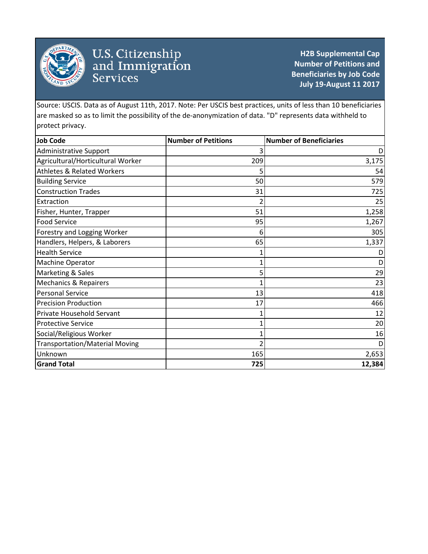

## U.S. Citizenship<br>and Immigration<br>Services

**H2B Supplemental Cap Number of Petitions and Beneficiaries by Job Code July 19-August 11 2017**

Source: USCIS. Data as of August 11th, 2017. Note: Per USCIS best practices, units of less than 10 beneficiaries are masked so as to limit the possibility of the de-anonymization of data. "D" represents data withheld to protect privacy.

| <b>Job Code</b>                       | <b>Number of Petitions</b> | <b>Number of Beneficiaries</b> |
|---------------------------------------|----------------------------|--------------------------------|
| <b>Administrative Support</b>         | 3                          | D                              |
| Agricultural/Horticultural Worker     | 209                        | 3,175                          |
| <b>Athletes &amp; Related Workers</b> |                            | 54                             |
| <b>Building Service</b>               | 50                         | 579                            |
| <b>Construction Trades</b>            | 31                         | 725                            |
| Extraction                            | 2                          | 25                             |
| Fisher, Hunter, Trapper               | 51                         | 1,258                          |
| <b>Food Service</b>                   | 95                         | 1,267                          |
| Forestry and Logging Worker           | 6                          | 305                            |
| Handlers, Helpers, & Laborers         | 65                         | 1,337                          |
| <b>Health Service</b>                 |                            |                                |
| Machine Operator                      |                            |                                |
| Marketing & Sales                     | 5                          | 29                             |
| <b>Mechanics &amp; Repairers</b>      | 1                          | 23                             |
| <b>Personal Service</b>               | 13                         | 418                            |
| <b>Precision Production</b>           | 17                         | 466                            |
| Private Household Servant             |                            | 12                             |
| <b>Protective Service</b>             |                            | 20                             |
| Social/Religious Worker               | 1                          | 16                             |
| <b>Transportation/Material Moving</b> |                            |                                |
| Unknown                               | 165                        | 2,653                          |
| <b>Grand Total</b>                    | 725                        | 12,384                         |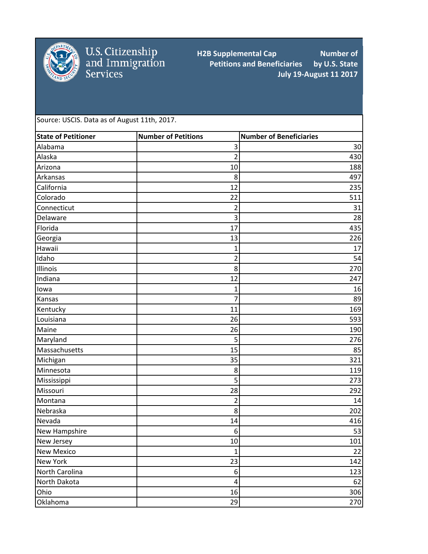

U.S. Citizenship<br>and Immigration<br>Services

**H2B Supplemental Cap Number of Petitions and Beneficiaries by U.S. State Petitions and Beneficiaries July 19-August 11 2017**

Source: USCIS. Data as of August 11th, 2017.

| <b>State of Petitioner</b> | <b>Number of Petitions</b> | <b>Number of Beneficiaries</b> |
|----------------------------|----------------------------|--------------------------------|
| Alabama                    | 3                          | 30                             |
| Alaska                     | $\overline{2}$             | 430                            |
| Arizona                    | 10                         | 188                            |
| Arkansas                   | 8                          | 497                            |
| California                 | 12                         | 235                            |
| Colorado                   | 22                         | 511                            |
| Connecticut                | 2                          | 31                             |
| Delaware                   | 3                          | 28                             |
| Florida                    | 17                         | 435                            |
| Georgia                    | 13                         | 226                            |
| Hawaii                     | 1                          | 17                             |
| Idaho                      | 2                          | 54                             |
| Illinois                   | 8                          | 270                            |
| Indiana                    | 12                         | 247                            |
| lowa                       | 1                          | 16                             |
| Kansas                     | 7                          | 89                             |
| Kentucky                   | 11                         | 169                            |
| Louisiana                  | 26                         | 593                            |
| Maine                      | 26                         | 190                            |
| Maryland                   | 5                          | 276                            |
| Massachusetts              | 15                         | 85                             |
| Michigan                   | 35                         | 321                            |
| Minnesota                  | 8                          | 119                            |
| Mississippi                | 5                          | 273                            |
| Missouri                   | 28                         | 292                            |
| Montana                    | 2                          | 14                             |
| Nebraska                   | 8                          | 202                            |
| Nevada                     | 14                         | 416                            |
| New Hampshire              | 6                          | 53                             |
| New Jersey                 | 10                         | 101                            |
| <b>New Mexico</b>          | 1                          | 22                             |
| New York                   | 23                         | 142                            |
| North Carolina             | $\boldsymbol{6}$           | 123                            |
| North Dakota               | 4                          | 62                             |
| Ohio                       | 16                         | 306                            |
| Oklahoma                   | 29                         | 270                            |